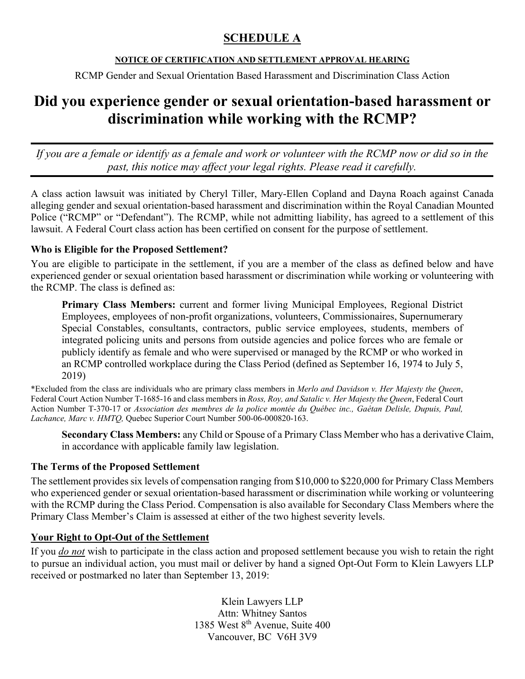## **SCHEDULE A**

### **NOTICE OF CERTIFICATION AND SETTLEMENT APPROVAL HEARING**

RCMP Gender and Sexual Orientation Based Harassment and Discrimination Class Action

# **Did you experience gender or sexual orientation-based harassment or discrimination while working with the RCMP?**

*If you are a female or identify as a female and work or volunteer with the RCMP now or did so in the past, this notice may affect your legal rights. Please read it carefully.* 

A class action lawsuit was initiated by Cheryl Tiller, Mary-Ellen Copland and Dayna Roach against Canada alleging gender and sexual orientation-based harassment and discrimination within the Royal Canadian Mounted Police ("RCMP" or "Defendant"). The RCMP, while not admitting liability, has agreed to a settlement of this lawsuit. A Federal Court class action has been certified on consent for the purpose of settlement.

#### **Who is Eligible for the Proposed Settlement?**

You are eligible to participate in the settlement, if you are a member of the class as defined below and have experienced gender or sexual orientation based harassment or discrimination while working or volunteering with the RCMP. The class is defined as:

**Primary Class Members:** current and former living Municipal Employees, Regional District Employees, employees of non-profit organizations, volunteers, Commissionaires, Supernumerary Special Constables, consultants, contractors, public service employees, students, members of integrated policing units and persons from outside agencies and police forces who are female or publicly identify as female and who were supervised or managed by the RCMP or who worked in an RCMP controlled workplace during the Class Period (defined as September 16, 1974 to July 5, 2019)

\*Excluded from the class are individuals who are primary class members in *Merlo and Davidson v. Her Majesty the Queen*, Federal Court Action Number T-1685-16 and class members in *Ross, Roy, and Satalic v. Her Majesty the Queen*, Federal Court Action Number T-370-17 or *Association des membres de la police montée du Québec inc., Gaétan Delisle, Dupuis, Paul, Lachance, Marc v. HMTQ,* Quebec Superior Court Number 500-06-000820-163.

**Secondary Class Members:** any Child or Spouse of a Primary Class Member who has a derivative Claim, in accordance with applicable family law legislation.

#### **The Terms of the Proposed Settlement**

The settlement provides six levels of compensation ranging from \$10,000 to \$220,000 for Primary Class Members who experienced gender or sexual orientation-based harassment or discrimination while working or volunteering with the RCMP during the Class Period. Compensation is also available for Secondary Class Members where the Primary Class Member's Claim is assessed at either of the two highest severity levels.

## **Your Right to Opt-Out of the Settlement**

If you *do not* wish to participate in the class action and proposed settlement because you wish to retain the right to pursue an individual action, you must mail or deliver by hand a signed Opt-Out Form to Klein Lawyers LLP received or postmarked no later than September 13, 2019:

> Klein Lawyers LLP Attn: Whitney Santos 1385 West 8th Avenue, Suite 400 Vancouver, BC V6H 3V9